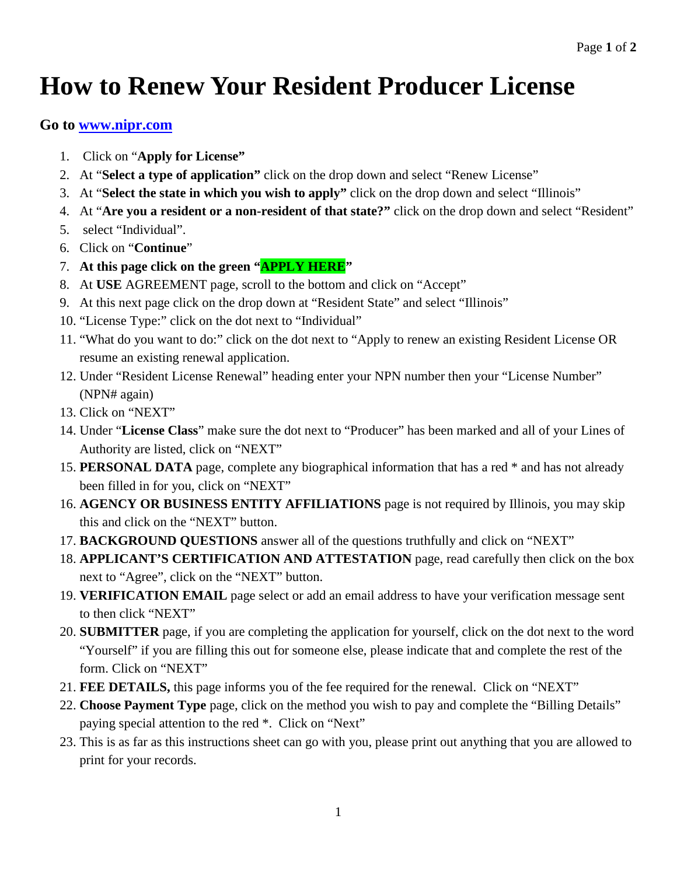## **How to Renew Your Resident Producer License**

## **Go to [www.nipr.com](http://www.nipr.com/)**

- 1. Click on "**Apply for License"**
- 2. At "**Select a type of application"** click on the drop down and select "Renew License"
- 3. At "**Select the state in which you wish to apply"** click on the drop down and select "Illinois"
- 4. At "**Are you a resident or a non-resident of that state?"** click on the drop down and select "Resident"
- 5. select "Individual".
- 6. Click on "**Continue**"
- 7. **At this page click on the green "APPLY HERE"**
- 8. At **USE** AGREEMENT page, scroll to the bottom and click on "Accept"
- 9. At this next page click on the drop down at "Resident State" and select "Illinois"
- 10. "License Type:" click on the dot next to "Individual"
- 11. "What do you want to do:" click on the dot next to "Apply to renew an existing Resident License OR resume an existing renewal application.
- 12. Under "Resident License Renewal" heading enter your NPN number then your "License Number" (NPN# again)
- 13. Click on "NEXT"
- 14. Under "**License Class**" make sure the dot next to "Producer" has been marked and all of your Lines of Authority are listed, click on "NEXT"
- 15. **PERSONAL DATA** page, complete any biographical information that has a red \* and has not already been filled in for you, click on "NEXT"
- 16. **AGENCY OR BUSINESS ENTITY AFFILIATIONS** page is not required by Illinois, you may skip this and click on the "NEXT" button.
- 17. **BACKGROUND QUESTIONS** answer all of the questions truthfully and click on "NEXT"
- 18. **APPLICANT'S CERTIFICATION AND ATTESTATION** page, read carefully then click on the box next to "Agree", click on the "NEXT" button.
- 19. **VERIFICATION EMAIL** page select or add an email address to have your verification message sent to then click "NEXT"
- 20. **SUBMITTER** page, if you are completing the application for yourself, click on the dot next to the word "Yourself" if you are filling this out for someone else, please indicate that and complete the rest of the form. Click on "NEXT"
- 21. **FEE DETAILS,** this page informs you of the fee required for the renewal. Click on "NEXT"
- 22. **Choose Payment Type** page, click on the method you wish to pay and complete the "Billing Details" paying special attention to the red \*. Click on "Next"
- 23. This is as far as this instructions sheet can go with you, please print out anything that you are allowed to print for your records.